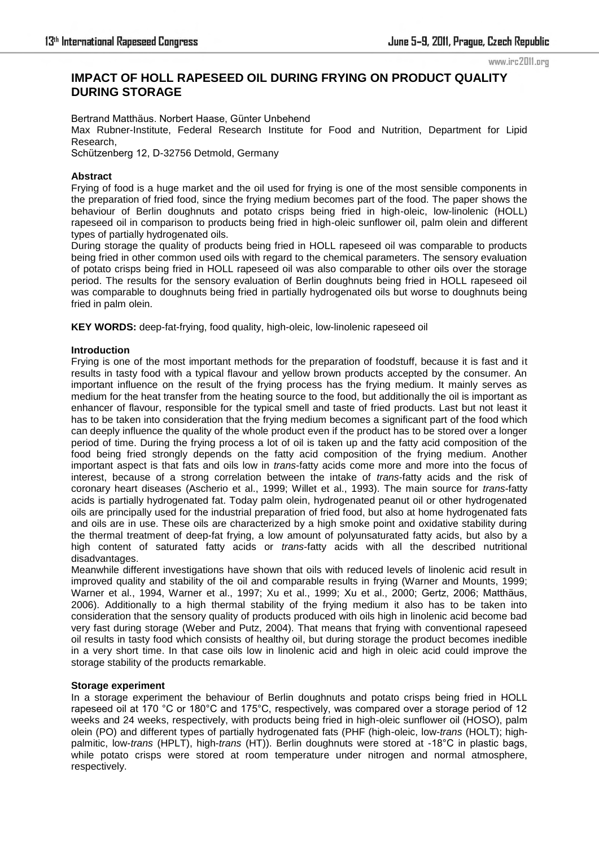www.irc2011.org

# **IMPACT OF HOLL RAPESEED OIL DURING FRYING ON PRODUCT QUALITY DURING STORAGE**

Bertrand Matthäus. Norbert Haase, Günter Unbehend Max Rubner-Institute, Federal Research Institute for Food and Nutrition, Department for Lipid Research, Schützenberg 12, D-32756 Detmold, Germany

## **Abstract**

Frying of food is a huge market and the oil used for frying is one of the most sensible components in the preparation of fried food, since the frying medium becomes part of the food. The paper shows the behaviour of Berlin doughnuts and potato crisps being fried in high-oleic, low-linolenic (HOLL) rapeseed oil in comparison to products being fried in high-oleic sunflower oil, palm olein and different types of partially hydrogenated oils.

During storage the quality of products being fried in HOLL rapeseed oil was comparable to products being fried in other common used oils with regard to the chemical parameters. The sensory evaluation of potato crisps being fried in HOLL rapeseed oil was also comparable to other oils over the storage period. The results for the sensory evaluation of Berlin doughnuts being fried in HOLL rapeseed oil was comparable to doughnuts being fried in partially hydrogenated oils but worse to doughnuts being fried in palm olein.

**KEY WORDS:** deep-fat-frying, food quality, high-oleic, low-linolenic rapeseed oil

## **Introduction**

Frying is one of the most important methods for the preparation of foodstuff, because it is fast and it results in tasty food with a typical flavour and yellow brown products accepted by the consumer. An important influence on the result of the frying process has the frying medium. It mainly serves as medium for the heat transfer from the heating source to the food, but additionally the oil is important as enhancer of flavour, responsible for the typical smell and taste of fried products. Last but not least it has to be taken into consideration that the frying medium becomes a significant part of the food which can deeply influence the quality of the whole product even if the product has to be stored over a longer period of time. During the frying process a lot of oil is taken up and the fatty acid composition of the food being fried strongly depends on the fatty acid composition of the frying medium. Another important aspect is that fats and oils low in *trans*-fatty acids come more and more into the focus of interest, because of a strong correlation between the intake of *trans*-fatty acids and the risk of coronary heart diseases (Ascherio et al., 1999; Willet et al., 1993). The main source for *trans*-fatty acids is partially hydrogenated fat. Today palm olein, hydrogenated peanut oil or other hydrogenated oils are principally used for the industrial preparation of fried food, but also at home hydrogenated fats and oils are in use. These oils are characterized by a high smoke point and oxidative stability during the thermal treatment of deep-fat frying, a low amount of polyunsaturated fatty acids, but also by a high content of saturated fatty acids or *trans*-fatty acids with all the described nutritional disadvantages.

Meanwhile different investigations have shown that oils with reduced levels of linolenic acid result in improved quality and stability of the oil and comparable results in frying (Warner and Mounts, 1999; Warner et al., 1994, Warner et al., 1997; Xu et al., 1999; Xu et al., 2000; Gertz, 2006; Matthäus, 2006). Additionally to a high thermal stability of the frying medium it also has to be taken into consideration that the sensory quality of products produced with oils high in linolenic acid become bad very fast during storage (Weber and Putz, 2004). That means that frying with conventional rapeseed oil results in tasty food which consists of healthy oil, but during storage the product becomes inedible in a very short time. In that case oils low in linolenic acid and high in oleic acid could improve the storage stability of the products remarkable.

## **Storage experiment**

In a storage experiment the behaviour of Berlin doughnuts and potato crisps being fried in HOLL rapeseed oil at 170 °C or 180°C and 175°C, respectively, was compared over a storage period of 12 weeks and 24 weeks, respectively, with products being fried in high-oleic sunflower oil (HOSO), palm olein (PO) and different types of partially hydrogenated fats (PHF (high-oleic, low-*trans* (HOLT); highpalmitic, low-*trans* (HPLT), high-*trans* (HT)). Berlin doughnuts were stored at -18°C in plastic bags, while potato crisps were stored at room temperature under nitrogen and normal atmosphere, respectively.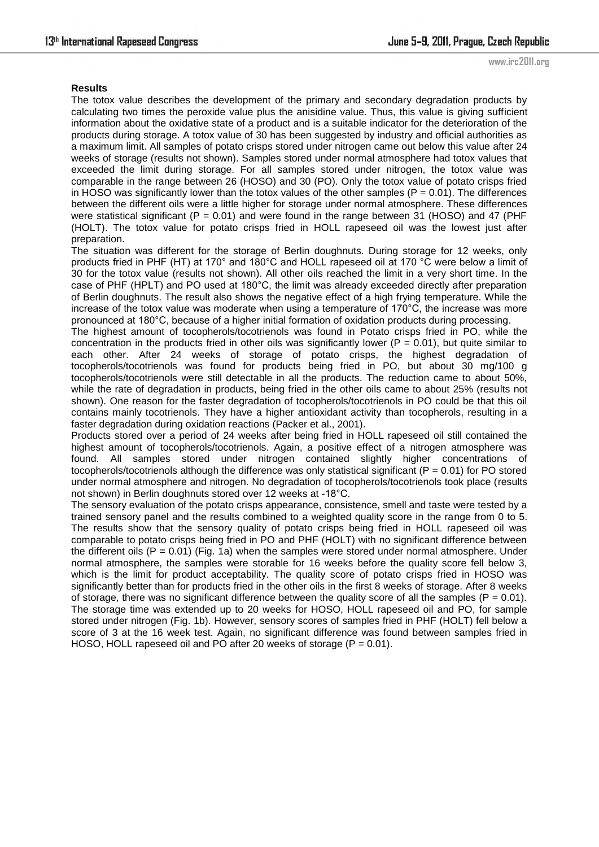### **Results**

The totox value describes the development of the primary and secondary degradation products by calculating two times the peroxide value plus the anisidine value. Thus, this value is giving sufficient information about the oxidative state of a product and is a suitable indicator for the deterioration of the products during storage. A totox value of 30 has been suggested by industry and official authorities as a maximum limit. All samples of potato crisps stored under nitrogen came out below this value after 24 weeks of storage (results not shown). Samples stored under normal atmosphere had totox values that exceeded the limit during storage. For all samples stored under nitrogen, the totox value was comparable in the range between 26 (HOSO) and 30 (PO). Only the totox value of potato crisps fried in HOSO was significantly lower than the totox values of the other samples ( $P = 0.01$ ). The differences between the different oils were a little higher for storage under normal atmosphere. These differences were statistical significant ( $P = 0.01$ ) and were found in the range between 31 (HOSO) and 47 (PHF (HOLT). The totox value for potato crisps fried in HOLL rapeseed oil was the lowest just after preparation.

The situation was different for the storage of Berlin doughnuts. During storage for 12 weeks, only products fried in PHF (HT) at 170° and 180°C and HOLL rapeseed oil at 170 °C were below a limit of 30 for the totox value (results not shown). All other oils reached the limit in a very short time. In the case of PHF (HPLT) and PO used at 180°C, the limit was already exceeded directly after preparation of Berlin doughnuts. The result also shows the negative effect of a high frying temperature. While the increase of the totox value was moderate when using a temperature of 170°C, the increase was more pronounced at 180°C, because of a higher initial formation of oxidation products during processing.

The highest amount of tocopherols/tocotrienols was found in Potato crisps fried in PO, while the concentration in the products fried in other oils was significantly lower ( $P = 0.01$ ), but quite similar to each other. After 24 weeks of storage of potato crisps, the highest degradation of tocopherols/tocotrienols was found for products being fried in PO, but about 30 mg/100 g tocopherols/tocotrienols were still detectable in all the products. The reduction came to about 50%, while the rate of degradation in products, being fried in the other oils came to about 25% (results not shown). One reason for the faster degradation of tocopherols/tocotrienols in PO could be that this oil contains mainly tocotrienols. They have a higher antioxidant activity than tocopherols, resulting in a faster degradation during oxidation reactions (Packer et al., 2001).

Products stored over a period of 24 weeks after being fried in HOLL rapeseed oil still contained the highest amount of tocopherols/tocotrienols. Again, a positive effect of a nitrogen atmosphere was found. All samples stored under nitrogen contained slightly higher concentrations of tocopherols/tocotrienols although the difference was only statistical significant ( $P = 0.01$ ) for PO stored under normal atmosphere and nitrogen. No degradation of tocopherols/tocotrienols took place (results not shown) in Berlin doughnuts stored over 12 weeks at -18°C.

The sensory evaluation of the potato crisps appearance, consistence, smell and taste were tested by a trained sensory panel and the results combined to a weighted quality score in the range from 0 to 5. The results show that the sensory quality of potato crisps being fried in HOLL rapeseed oil was comparable to potato crisps being fried in PO and PHF (HOLT) with no significant difference between the different oils  $(P = 0.01)$  (Fig. 1a) when the samples were stored under normal atmosphere. Under normal atmosphere, the samples were storable for 16 weeks before the quality score fell below 3, which is the limit for product acceptability. The quality score of potato crisps fried in HOSO was significantly better than for products fried in the other oils in the first 8 weeks of storage. After 8 weeks of storage, there was no significant difference between the quality score of all the samples ( $P = 0.01$ ). The storage time was extended up to 20 weeks for HOSO, HOLL rapeseed oil and PO, for sample stored under nitrogen (Fig. 1b). However, sensory scores of samples fried in PHF (HOLT) fell below a score of 3 at the 16 week test. Again, no significant difference was found between samples fried in HOSO, HOLL rapeseed oil and PO after 20 weeks of storage ( $P = 0.01$ ).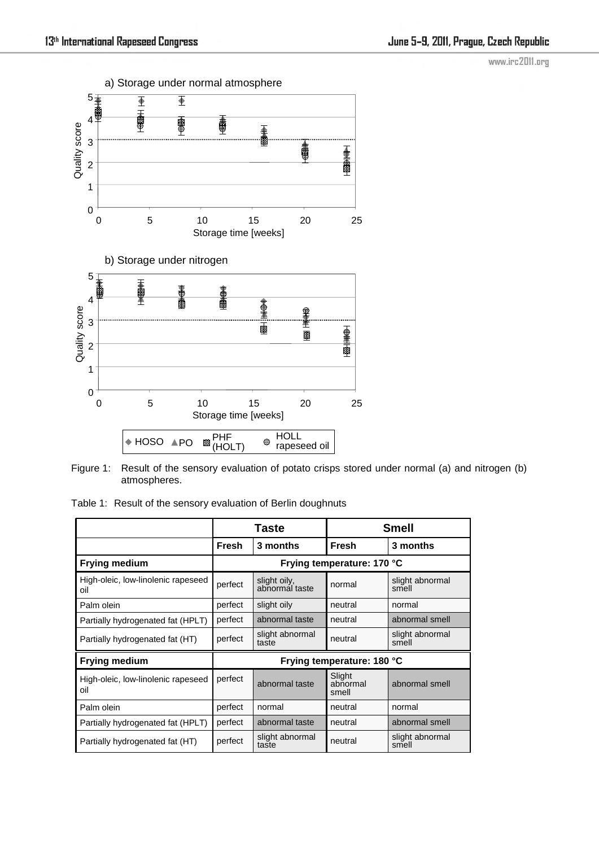www.irc2011.org



Figure 1: Result of the sensory evaluation of potato crisps stored under normal (a) and nitrogen (b) atmospheres.

Table 1: Result of the sensory evaluation of Berlin doughnuts

|                                           | Taste                      |                                | Smell                       |                          |
|-------------------------------------------|----------------------------|--------------------------------|-----------------------------|--------------------------|
|                                           | Fresh                      | 3 months                       | <b>Fresh</b>                | 3 months                 |
| <b>Frying medium</b>                      | Frying temperature: 170 °C |                                |                             |                          |
| High-oleic, low-linolenic rapeseed<br>oil | perfect                    | slight oily,<br>abnormal taste | normal                      | slight abnormal<br>smell |
| Palm olein                                | perfect                    | slight oily                    | neutral                     | normal                   |
| Partially hydrogenated fat (HPLT)         | perfect                    | abnormal taste                 | neutral                     | abnormal smell           |
| Partially hydrogenated fat (HT)           | perfect                    | slight abnormal<br>taste       | neutral                     | slight abnormal<br>smell |
| <b>Frying medium</b>                      | Frying temperature: 180 °C |                                |                             |                          |
| High-oleic, low-linolenic rapeseed<br>oil | perfect                    | abnormal taste                 | Slight<br>abnormal<br>smell | abnormal smell           |
| Palm olein                                | perfect                    | normal                         | neutral                     | normal                   |
| Partially hydrogenated fat (HPLT)         | perfect                    | abnormal taste                 | neutral                     | abnormal smell           |
| Partially hydrogenated fat (HT)           | perfect                    | slight abnormal<br>taste       | neutral                     | slight abnormal<br>smell |